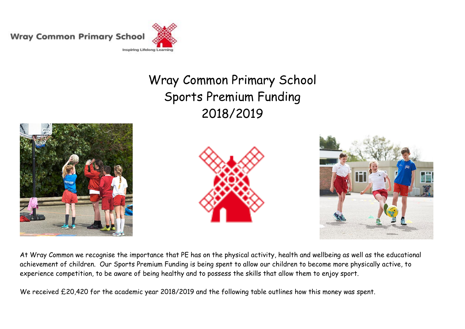**Wray Common Primary School** 



## Wray Common Primary School Sports Premium Funding 2018/2019







At Wray Common we recognise the importance that PE has on the physical activity, health and wellbeing as well as the educational achievement of children. Our Sports Premium Funding is being spent to allow our children to become more physically active, to experience competition, to be aware of being healthy and to possess the skills that allow them to enjoy sport.

We received £20,420 for the academic year 2018/2019 and the following table outlines how this money was spent.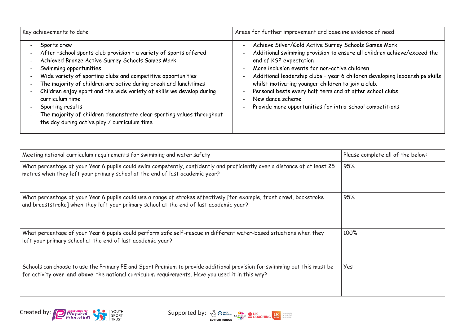| Key achievements to date:                                                                                                                                                                                                                                                                                                                                                                                                                                                                                                                  | Areas for further improvement and baseline evidence of need:                                                                                                                                                                                                                                                                                                                                                                                                                                |
|--------------------------------------------------------------------------------------------------------------------------------------------------------------------------------------------------------------------------------------------------------------------------------------------------------------------------------------------------------------------------------------------------------------------------------------------------------------------------------------------------------------------------------------------|---------------------------------------------------------------------------------------------------------------------------------------------------------------------------------------------------------------------------------------------------------------------------------------------------------------------------------------------------------------------------------------------------------------------------------------------------------------------------------------------|
| Sports crew<br>After -school sports club provision - a variety of sports offered<br>Achieved Bronze Active Surrey Schools Games Mark<br>Swimming opportunities<br>Wide variety of sporting clubs and competitive opportunities<br>The majority of children are active during break and lunchtimes<br>Children enjoy sport and the wide variety of skills we develop during<br>curriculum time<br>Sporting results<br>The majority of children demonstrate clear sporting values throughout<br>the day during active play / curriculum time | Achieve Silver/Gold Active Surrey Schools Games Mark<br>Additional swimming provision to ensure all children achieve/exceed the<br>end of KS2 expectation<br>More inclusion events for non-active children<br>Additional leadership clubs - year 6 children developing leaderships skills<br>whilst motivating younger children to join a club.<br>Personal bests every half term and at after school clubs<br>New dance scheme<br>Provide more opportunities for intra-school competitions |

| Meeting national curriculum requirements for swimming and water safety                                                                                                                                                      | Please complete all of the below: |
|-----------------------------------------------------------------------------------------------------------------------------------------------------------------------------------------------------------------------------|-----------------------------------|
| What percentage of your Year 6 pupils could swim competently, confidently and proficiently over a distance of at least 25<br>metres when they left your primary school at the end of last academic year?                    | 95%                               |
| What percentage of your Year 6 pupils could use a range of strokes effectively [for example, front crawl, backstroke<br>and breaststroke] when they left your primary school at the end of last academic year?              | 95%                               |
| What percentage of your Year 6 pupils could perform safe self-rescue in different water-based situations when they<br>left your primary school at the end of last academic year?                                            | 100%                              |
| Schools can choose to use the Primary PE and Sport Premium to provide additional provision for swimming but this must be<br>for activity over and above the national curriculum requirements. Have you used it in this way? | Yes                               |



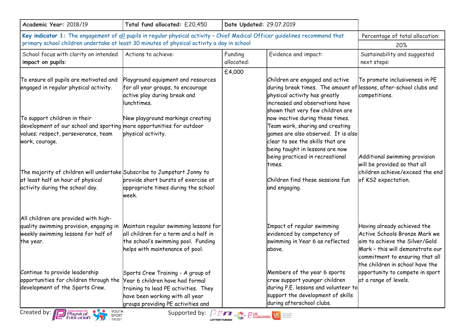| Academic Year: 2018/19                                                                                                                                                                                                                                                                                                                          | Total fund allocated: £20,450                                                                                                                                                         | Date Updated: 29.07.2019 |                                                                                                                                                                                                                      |                                                                                                                                                                                                          |
|-------------------------------------------------------------------------------------------------------------------------------------------------------------------------------------------------------------------------------------------------------------------------------------------------------------------------------------------------|---------------------------------------------------------------------------------------------------------------------------------------------------------------------------------------|--------------------------|----------------------------------------------------------------------------------------------------------------------------------------------------------------------------------------------------------------------|----------------------------------------------------------------------------------------------------------------------------------------------------------------------------------------------------------|
| Key indicator 1: The engagement of all pupils in regular physical activity - Chief Medical Officer guidelines recommend that                                                                                                                                                                                                                    | Percentage of total allocation:                                                                                                                                                       |                          |                                                                                                                                                                                                                      |                                                                                                                                                                                                          |
| primary school children undertake at least 30 minutes of physical activity a day in school                                                                                                                                                                                                                                                      |                                                                                                                                                                                       |                          |                                                                                                                                                                                                                      | 20%                                                                                                                                                                                                      |
| School focus with clarity on intended<br>impact on pupils:                                                                                                                                                                                                                                                                                      | Actions to achieve:                                                                                                                                                                   | Funding<br>allocated:    | Evidence and impact:                                                                                                                                                                                                 | Sustainability and suggested<br>next steps:                                                                                                                                                              |
| To ensure all pupils are motivated and<br>engaged in regular physical activity.                                                                                                                                                                                                                                                                 | Playground equipment and resources<br>for all year groups, to encourage<br>active play during break and<br>llunchtimes.                                                               | £4,000                   | Children are engaged and active<br>during break times. The amount of lessons, after-school clubs and<br>physical activity has greatly<br>increased and observations have<br>shown that very few children are         | To promote inclusiveness in PE<br>competitions.                                                                                                                                                          |
| To support children in their<br>development of our school and sporting more opportunities for outdoor<br>values; respect, perseverance, team<br>work, courage.                                                                                                                                                                                  | New playground markings creating<br>physical activity.                                                                                                                                |                          | now inactive during these times.<br>Team work, sharing and creating<br>games are also observed. It is also<br>clear to see the skills that are<br>being taught in lessons are now<br>being practiced in recreational | Additional swimming provision                                                                                                                                                                            |
| The majority of children will undertake Subscribe to Jumpstart Jonny to<br>at least half an hour of physical<br>activity during the school day.                                                                                                                                                                                                 | provide short bursts of exercise at<br>appropriate times during the school<br>week.                                                                                                   |                          | ltimes.<br>Children find these sessions fun<br>and engaging.                                                                                                                                                         | will be provided so that all<br>children achieve/exceed the end<br>of KS2 expectation.                                                                                                                   |
| All children are provided with high-<br>quality swimming provision, engaging in<br>weekly swimming lessons for half of<br>the year.                                                                                                                                                                                                             | Maintain regular swimming lessons for<br>all children for a term and a half in<br>the school's swimming pool. Funding<br>helps with maintenance of pool.                              |                          | Impact of regular swimming<br>evidenced by competency of<br>swimming in Year 6 as reflected<br>above.                                                                                                                | Having already achieved the<br>Active Schools Bronze Mark we<br>aim to achieve the Silver/Gold<br>Mark - this will demonstrate our<br>commitment to ensuring that all<br>the children in school have the |
| Continue to provide leadership<br>opportunities for children through the<br>development of the Sports Crew.                                                                                                                                                                                                                                     | Sports Crew Training - A group of<br>Year 6 children have had formal<br>training to lead PE activities. They<br>have been working with all year<br>groups providing PE activities and |                          | Members of the year 6 sports<br>crew support younger children<br>during P.E. lessons and volunteer to<br>support the development of skills<br>during afterschool clubs.                                              | opportunity to compete in sport<br>at a range of levels.                                                                                                                                                 |
| YOUTH<br>Created by:<br>Supported by:<br><i>Physical</i><br>Education<br><b>SPACEMORE COACHING LAST MODEL DESCRIPTION COACHING LAST MODEL DESCRIPTION COACHING LAST MODEL DESCRIPTION COACHING COACHING COACHING COACHING COACHING COACHING COACHING COACHING COACHING COACHING COACHING COACHING COACHIN</b><br>SPORT<br><b>LOTTERY FUNDED</b> |                                                                                                                                                                                       |                          |                                                                                                                                                                                                                      |                                                                                                                                                                                                          |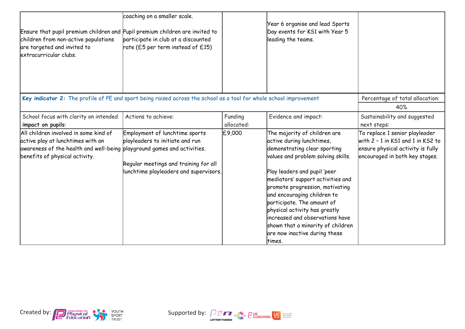| Ensure that pupil premium children and Pupil premium children are invited to<br>children from non-active populations<br>are targeted and invited to<br>extracurricular clubs.           | coaching on a smaller scale.<br>participate in club at a discounted<br>rate (£5 per term instead of $£15)$                                           |                       | Year 6 organise and lead Sports<br>Day events for KS1 with Year 5<br>leading the teams.                                                                                                                                                                                                |                                                                                                                                            |
|-----------------------------------------------------------------------------------------------------------------------------------------------------------------------------------------|------------------------------------------------------------------------------------------------------------------------------------------------------|-----------------------|----------------------------------------------------------------------------------------------------------------------------------------------------------------------------------------------------------------------------------------------------------------------------------------|--------------------------------------------------------------------------------------------------------------------------------------------|
| Key indicator 2: The profile of PE and sport being raised across the school as a tool for whole school improvement                                                                      |                                                                                                                                                      |                       |                                                                                                                                                                                                                                                                                        | Percentage of total allocation:                                                                                                            |
|                                                                                                                                                                                         |                                                                                                                                                      |                       |                                                                                                                                                                                                                                                                                        | 40%                                                                                                                                        |
| School focus with clarity on intended<br>impact on pupils:                                                                                                                              | Actions to achieve:                                                                                                                                  | Funding<br>allocated: | Evidence and impact:                                                                                                                                                                                                                                                                   | Sustainability and suggested<br>next steps:                                                                                                |
| All children involved in some kind of<br>active play at lunchtimes with an<br>awareness of the health and well-being playground games and activities.<br>benefits of physical activity. | Employment of lunchtime sports<br>playleaders to initiate and run<br>Regular meetings and training for all<br>lunchtime playleaders and supervisors. | £9,000                | The majority of children are<br>active during lunchtimes,<br>demonstrating clear sporting<br>values and problem solving skills.<br>Play leaders and pupil 'peer                                                                                                                        | To replace 1 senior playleader<br>with 2 - 1 in KS1 and 1 in KS2 to<br>ensure physical activity is fully<br>encouraged in both key stages. |
|                                                                                                                                                                                         |                                                                                                                                                      |                       | mediators' support activities and<br>promote progression, motivating<br>and encouraging children to<br>participate. The amount of<br>physical activity has greatly<br>increased and observations have<br>shown that a minority of children<br>are now inactive during these<br>ltimes. |                                                                                                                                            |



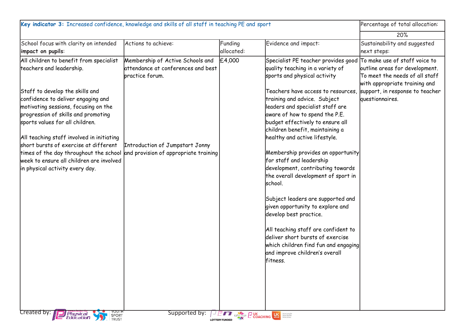| Key indicator 3: Increased confidence, knowledge and skills of all staff in teaching PE and sport                                                                                                                                                                                                                                                                   | Percentage of total allocation:                                                           |            |                                                                                                                                                                                                                                                                                                                     |                                                                                                                                                                       |  |
|---------------------------------------------------------------------------------------------------------------------------------------------------------------------------------------------------------------------------------------------------------------------------------------------------------------------------------------------------------------------|-------------------------------------------------------------------------------------------|------------|---------------------------------------------------------------------------------------------------------------------------------------------------------------------------------------------------------------------------------------------------------------------------------------------------------------------|-----------------------------------------------------------------------------------------------------------------------------------------------------------------------|--|
|                                                                                                                                                                                                                                                                                                                                                                     |                                                                                           |            |                                                                                                                                                                                                                                                                                                                     | 20%                                                                                                                                                                   |  |
| School focus with clarity on intended                                                                                                                                                                                                                                                                                                                               | Actions to achieve:                                                                       | Funding    | Evidence and impact:                                                                                                                                                                                                                                                                                                | Sustainability and suggested                                                                                                                                          |  |
| impact on pupils:                                                                                                                                                                                                                                                                                                                                                   |                                                                                           | allocated: |                                                                                                                                                                                                                                                                                                                     | next steps:                                                                                                                                                           |  |
| All children to benefit from specialist<br>teachers and leadership.<br>Staff to develop the skills and                                                                                                                                                                                                                                                              | Membership of Active Schools and<br>attendance at conferences and best<br>practice forum. | £4,000     | Specialist PE teacher provides good<br>quality teaching in a variety of<br>sports and physical activity<br>Teachers have access to resources,                                                                                                                                                                       | To make use of staff voice to<br>outline areas for development.<br>To meet the needs of all staff<br>with appropriate training and<br>support, in response to teacher |  |
| confidence to deliver engaging and<br>motivating sessions, focusing on the<br>progression of skills and promoting<br>sports values for all children.<br>All teaching staff involved in initiating<br>short bursts of exercise at different<br>times of the day throughout the school<br>week to ensure all children are involved<br>in physical activity every day. | Introduction of Jumpstart Jonny<br>and provision of appropriate training                  |            | training and advice. Subject<br>leaders and specialist staff are<br>aware of how to spend the P.E.<br>budget effectively to ensure all<br>children benefit, maintaining a<br>healthy and active lifestyle.<br>Membership provides an opportunity<br>for staff and leadership<br>development, contributing towards   | questionnaires.                                                                                                                                                       |  |
| Created by:                                                                                                                                                                                                                                                                                                                                                         | Supported by:                                                                             |            | the overall development of sport in<br>school.<br>Subject leaders are supported and<br>given opportunity to explore and<br>develop best practice.<br>All teaching staff are confident to<br>deliver short bursts of exercise<br>which children find fun and engaging<br>and improve children's overall<br>lfitness. |                                                                                                                                                                       |  |
| <b>EXPRESSIONS DE LA COACHING LUC</b><br>Physical<br>Education<br>SPORT<br>TRUST<br><b>LOTTERY FUNDED</b>                                                                                                                                                                                                                                                           |                                                                                           |            |                                                                                                                                                                                                                                                                                                                     |                                                                                                                                                                       |  |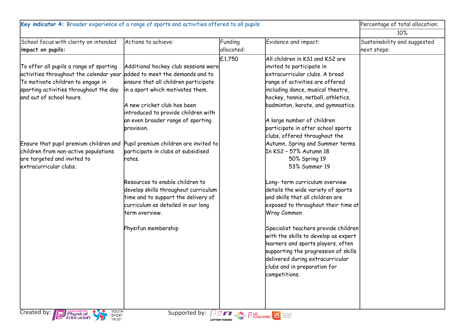| Key indicator 4: Broader experience of a range of sports and activities offered to all pupils                                                                                                                                   |                                                                                                                                                                                                                                                                 |                                                                 | Percentage of total allocation:                                                                                                                                                                                                                                                                                                                          |                                             |
|---------------------------------------------------------------------------------------------------------------------------------------------------------------------------------------------------------------------------------|-----------------------------------------------------------------------------------------------------------------------------------------------------------------------------------------------------------------------------------------------------------------|-----------------------------------------------------------------|----------------------------------------------------------------------------------------------------------------------------------------------------------------------------------------------------------------------------------------------------------------------------------------------------------------------------------------------------------|---------------------------------------------|
|                                                                                                                                                                                                                                 |                                                                                                                                                                                                                                                                 |                                                                 |                                                                                                                                                                                                                                                                                                                                                          | 10%                                         |
| School focus with clarity on intended<br>impact on pupils:                                                                                                                                                                      | Actions to achieve:                                                                                                                                                                                                                                             | Funding<br>allocated:                                           | Evidence and impact:                                                                                                                                                                                                                                                                                                                                     | Sustainability and suggested<br>next steps: |
| To offer all pupils a range of sporting<br>activities throughout the calendar year. added to meet the demands and to<br>To motivate children to engage in<br>sporting activities throughout the day<br>and out of school hours. | Additional hockey club sessions were<br>ensure that all children participate<br>in a sport which motivates them.<br>A new cricket club has been<br>introduced to provide children with<br>an even broader range of sporting<br>provision.                       | £1,750                                                          | All children in KS1 and KS2 are<br>invited to participate in<br>extracurricular clubs. A broad<br>range of activities are offered<br>including dance, musical theatre,<br>hockey, tennis, netball, athletics,<br>badminton, karate, and gymnastics.<br>A large number of children<br>participate in after school sports<br>clubs, offered throughout the |                                             |
| Ensure that pupil premium children and<br>children from non-active populations<br>are targeted and invited to<br>extracurricular clubs.                                                                                         | Pupil premium children are invited to<br>participate in clubs at subsidised<br>rates.<br>Resources to enable children to<br>develop skills throughout curriculum<br>time and to support the delivery of<br>curriculum as detailed in our long<br>term overview. |                                                                 | Autumn, Spring and Summer terms.<br>In KS2 - 57% Autumn 18<br>50% Spring 19<br>53% Summer 19<br>Long-term curriculum overview<br>details the wide variety of sports<br>and skills that all children are<br>exposed to throughout their time at<br><b>Wray Common</b>                                                                                     |                                             |
|                                                                                                                                                                                                                                 | Physifun membership                                                                                                                                                                                                                                             |                                                                 | Specialist teachers provide children<br>with the skills to develop as expert<br>learners and sports players, often<br>supporting the progression of skills<br>delivered during extracurricular<br>clubs and in preparation for<br>competitions.                                                                                                          |                                             |
| YOUTH<br>SPORT<br>TRUST<br>Created by:<br><i>Physical</i><br>Education                                                                                                                                                          | Supported by:                                                                                                                                                                                                                                                   | DET GREENGIK DUK MEET WAS SERVED WATER<br><b>LOTTERY FUNDED</b> |                                                                                                                                                                                                                                                                                                                                                          |                                             |